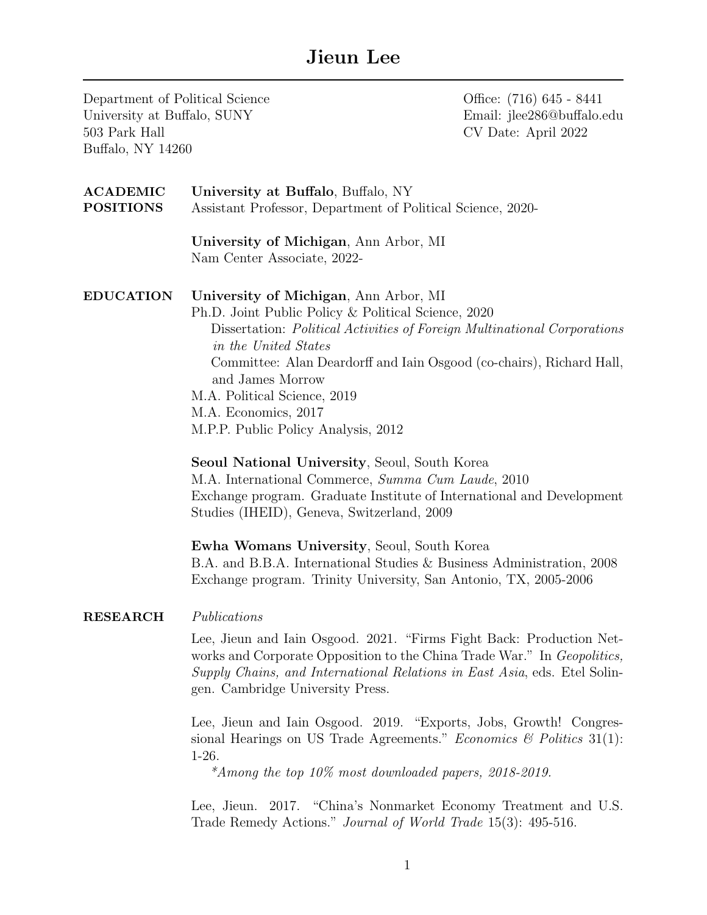## Jieun Lee

| Department of Political Science<br>University at Buffalo, SUNY<br>503 Park Hall<br>Buffalo, NY 14260 |                                                                                                                                                                                                                                                                                                                                                                                             | Office: (716) 645 - 8441<br>Email: jlee286@buffalo.edu<br>CV Date: April 2022 |  |
|------------------------------------------------------------------------------------------------------|---------------------------------------------------------------------------------------------------------------------------------------------------------------------------------------------------------------------------------------------------------------------------------------------------------------------------------------------------------------------------------------------|-------------------------------------------------------------------------------|--|
| <b>ACADEMIC</b><br><b>POSITIONS</b>                                                                  | University at Buffalo, Buffalo, NY<br>Assistant Professor, Department of Political Science, 2020-                                                                                                                                                                                                                                                                                           |                                                                               |  |
|                                                                                                      | University of Michigan, Ann Arbor, MI<br>Nam Center Associate, 2022-                                                                                                                                                                                                                                                                                                                        |                                                                               |  |
| <b>EDUCATION</b>                                                                                     | University of Michigan, Ann Arbor, MI<br>Ph.D. Joint Public Policy & Political Science, 2020<br>Dissertation: Political Activities of Foreign Multinational Corporations<br>in the United States<br>Committee: Alan Deardorff and Iain Osgood (co-chairs), Richard Hall,<br>and James Morrow<br>M.A. Political Science, 2019<br>M.A. Economics, 2017<br>M.P.P. Public Policy Analysis, 2012 |                                                                               |  |
|                                                                                                      | Seoul National University, Seoul, South Korea<br>M.A. International Commerce, Summa Cum Laude, 2010<br>Exchange program. Graduate Institute of International and Development<br>Studies (IHEID), Geneva, Switzerland, 2009                                                                                                                                                                  |                                                                               |  |
|                                                                                                      | Ewha Womans University, Seoul, South Korea<br>B.A. and B.B.A. International Studies & Business Administration, 2008<br>Exchange program. Trinity University, San Antonio, TX, 2005-2006                                                                                                                                                                                                     |                                                                               |  |
| <b>RESEARCH</b>                                                                                      | Publications                                                                                                                                                                                                                                                                                                                                                                                |                                                                               |  |
|                                                                                                      | Lee, Jieun and Iain Osgood. 2021. "Firms Fight Back: Production Net-<br>works and Corporate Opposition to the China Trade War." In Geopolitics,<br>Supply Chains, and International Relations in East Asia, eds. Etel Solin-<br>gen. Cambridge University Press.                                                                                                                            |                                                                               |  |
|                                                                                                      | Lee, Jieun and Iain Osgood. 2019. "Exports, Jobs, Growth! Congres-<br>sional Hearings on US Trade Agreements." Economics & Politics $31(1)$ :<br>$1-26.$<br>*Among the top $10\%$ most downloaded papers, 2018-2019.                                                                                                                                                                        |                                                                               |  |
|                                                                                                      | Lee, Jieun. 2017. "China's Nonmarket Economy Treatment and U.S.<br>Trade Remedy Actions." Journal of World Trade 15(3): 495-516.                                                                                                                                                                                                                                                            |                                                                               |  |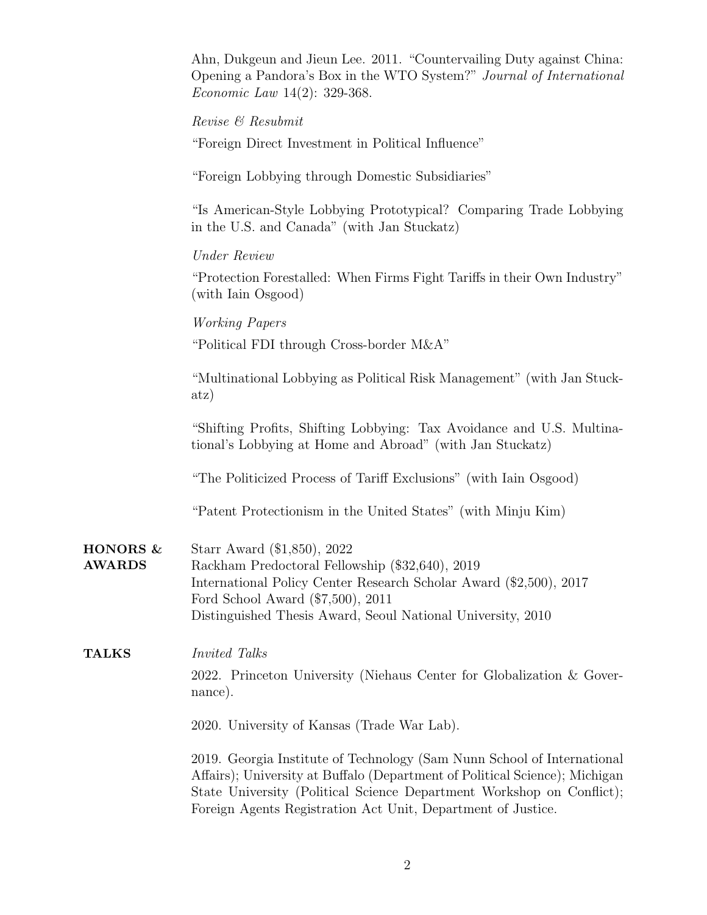|                                        | Ahn, Dukgeun and Jieun Lee. 2011. "Countervailing Duty against China: |
|----------------------------------------|-----------------------------------------------------------------------|
|                                        | Opening a Pandora's Box in the WTO System?" Journal of International  |
| <i>Economic Law</i> $14(2)$ : 329-368. |                                                                       |

Revise & Resubmit

"Foreign Direct Investment in Political Influence"

"Foreign Lobbying through Domestic Subsidiaries"

"Is American-Style Lobbying Prototypical? Comparing Trade Lobbying in the U.S. and Canada" (with Jan Stuckatz)

Under Review

"Protection Forestalled: When Firms Fight Tariffs in their Own Industry" (with Iain Osgood)

Working Papers

"Political FDI through Cross-border M&A"

"Multinational Lobbying as Political Risk Management" (with Jan Stuckatz)

"Shifting Profits, Shifting Lobbying: Tax Avoidance and U.S. Multinational's Lobbying at Home and Abroad" (with Jan Stuckatz)

"The Politicized Process of Tariff Exclusions" (with Iain Osgood)

"Patent Protectionism in the United States" (with Minju Kim)

HONORS & AWARDS Starr Award (\$1,850), 2022 Rackham Predoctoral Fellowship (\$32,640), 2019 International Policy Center Research Scholar Award (\$2,500), 2017 Ford School Award (\$7,500), 2011 Distinguished Thesis Award, Seoul National University, 2010

## TALKS Invited Talks 2022. Princeton University (Niehaus Center for Globalization & Governance).

2020. University of Kansas (Trade War Lab).

2019. Georgia Institute of Technology (Sam Nunn School of International Affairs); University at Buffalo (Department of Political Science); Michigan State University (Political Science Department Workshop on Conflict); Foreign Agents Registration Act Unit, Department of Justice.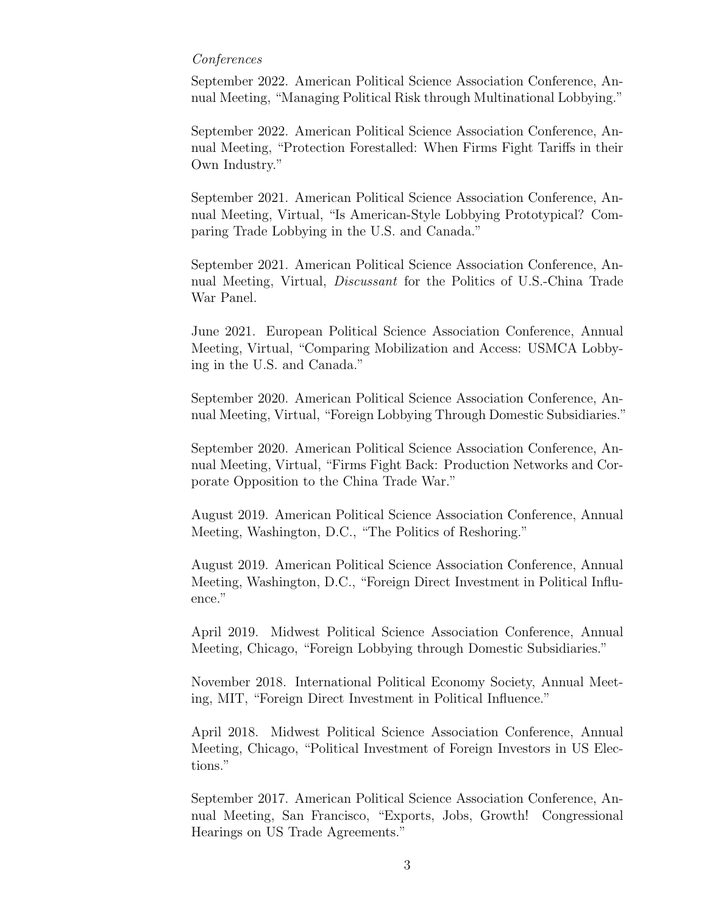## Conferences

September 2022. American Political Science Association Conference, Annual Meeting, "Managing Political Risk through Multinational Lobbying."

September 2022. American Political Science Association Conference, Annual Meeting, "Protection Forestalled: When Firms Fight Tariffs in their Own Industry."

September 2021. American Political Science Association Conference, Annual Meeting, Virtual, "Is American-Style Lobbying Prototypical? Comparing Trade Lobbying in the U.S. and Canada."

September 2021. American Political Science Association Conference, Annual Meeting, Virtual, Discussant for the Politics of U.S.-China Trade War Panel.

June 2021. European Political Science Association Conference, Annual Meeting, Virtual, "Comparing Mobilization and Access: USMCA Lobbying in the U.S. and Canada."

September 2020. American Political Science Association Conference, Annual Meeting, Virtual, "Foreign Lobbying Through Domestic Subsidiaries."

September 2020. American Political Science Association Conference, Annual Meeting, Virtual, "Firms Fight Back: Production Networks and Corporate Opposition to the China Trade War."

August 2019. American Political Science Association Conference, Annual Meeting, Washington, D.C., "The Politics of Reshoring."

August 2019. American Political Science Association Conference, Annual Meeting, Washington, D.C., "Foreign Direct Investment in Political Influence."

April 2019. Midwest Political Science Association Conference, Annual Meeting, Chicago, "Foreign Lobbying through Domestic Subsidiaries."

November 2018. International Political Economy Society, Annual Meeting, MIT, "Foreign Direct Investment in Political Influence."

April 2018. Midwest Political Science Association Conference, Annual Meeting, Chicago, "Political Investment of Foreign Investors in US Elections."

September 2017. American Political Science Association Conference, Annual Meeting, San Francisco, "Exports, Jobs, Growth! Congressional Hearings on US Trade Agreements."